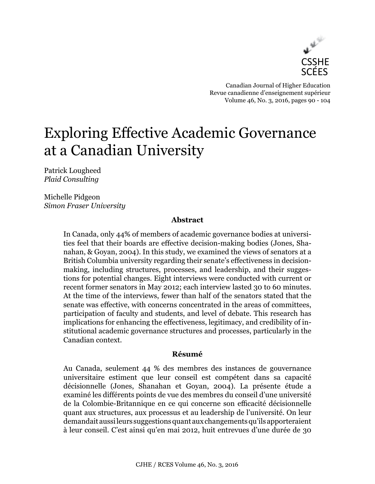

Canadian Journal of Higher Education Revue canadienne d'enseignement supérieur Volume 46, No. 3, 2016, pages 90 - 104

# Exploring Effective Academic Governance at a Canadian University

Patrick Lougheed *Plaid Consulting*

Michelle Pidgeon *Simon Fraser University*

## **Abstract**

In Canada, only 44% of members of academic governance bodies at universities feel that their boards are effective decision-making bodies (Jones, Shanahan, & Goyan, 2004). In this study, we examined the views of senators at a British Columbia university regarding their senate's effectiveness in decisionmaking, including structures, processes, and leadership, and their suggestions for potential changes. Eight interviews were conducted with current or recent former senators in May 2012; each interview lasted 30 to 60 minutes. At the time of the interviews, fewer than half of the senators stated that the senate was effective, with concerns concentrated in the areas of committees, participation of faculty and students, and level of debate. This research has implications for enhancing the effectiveness, legitimacy, and credibility of institutional academic governance structures and processes, particularly in the Canadian context.

## **Résumé**

Au Canada, seulement 44 % des membres des instances de gouvernance universitaire estiment que leur conseil est compétent dans sa capacité décisionnelle (Jones, Shanahan et Goyan, 2004). La présente étude a examiné les différents points de vue des membres du conseil d'une université de la Colombie-Britannique en ce qui concerne son efficacité décisionnelle quant aux structures, aux processus et au leadership de l'université. On leur demandait aussi leurs suggestions quant aux changements qu'ils apporteraient à leur conseil. C'est ainsi qu'en mai 2012, huit entrevues d'une durée de 30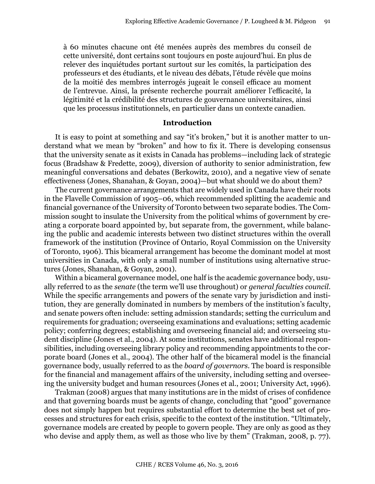à 60 minutes chacune ont été menées auprès des membres du conseil de cette université, dont certains sont toujours en poste aujourd'hui. En plus de relever des inquiétudes portant surtout sur les comités, la participation des professeurs et des étudiants, et le niveau des débats, l'étude révèle que moins de la moitié des membres interrogés jugeait le conseil efficace au moment de l'entrevue. Ainsi, la présente recherche pourrait améliorer l'efficacité, la légitimité et la crédibilité des structures de gouvernance universitaires, ainsi que les processus institutionnels, en particulier dans un contexte canadien.

#### **Introduction**

It is easy to point at something and say "it's broken," but it is another matter to understand what we mean by "broken" and how to fix it. There is developing consensus that the university senate as it exists in Canada has problems—including lack of strategic focus (Bradshaw & Fredette, 2009), diversion of authority to senior administration, few meaningful conversations and debates (Berkowitz, 2010), and a negative view of senate effectiveness (Jones, Shanahan, & Goyan, 2004)—but what should we do about them?

The current governance arrangements that are widely used in Canada have their roots in the Flavelle Commission of 1905–06, which recommended splitting the academic and financial governance of the University of Toronto between two separate bodies. The Commission sought to insulate the University from the political whims of government by creating a corporate board appointed by, but separate from, the government, while balancing the public and academic interests between two distinct structures within the overall framework of the institution (Province of Ontario, Royal Commission on the University of Toronto, 1906). This bicameral arrangement has become the dominant model at most universities in Canada, with only a small number of institutions using alternative structures (Jones, Shanahan, & Goyan, 2001).

Within a bicameral governance model, one half is the academic governance body, usually referred to as the *senate* (the term we'll use throughout) or *general faculties council*. While the specific arrangements and powers of the senate vary by jurisdiction and institution, they are generally dominated in numbers by members of the institution's faculty, and senate powers often include: setting admission standards; setting the curriculum and requirements for graduation; overseeing examinations and evaluations; setting academic policy; conferring degrees; establishing and overseeing financial aid; and overseeing student discipline (Jones et al., 2004). At some institutions, senates have additional responsibilities, including overseeing library policy and recommending appointments to the corporate board (Jones et al., 2004). The other half of the bicameral model is the financial governance body, usually referred to as the *board of governors*. The board is responsible for the financial and management affairs of the university, including setting and overseeing the university budget and human resources (Jones et al., 2001; University Act, 1996).

Trakman (2008) argues that many institutions are in the midst of crises of confidence and that governing boards must be agents of change, concluding that "good" governance does not simply happen but requires substantial effort to determine the best set of processes and structures for each crisis, specific to the context of the institution. "Ultimately, governance models are created by people to govern people. They are only as good as they who devise and apply them, as well as those who live by them" (Trakman, 2008, p. 77).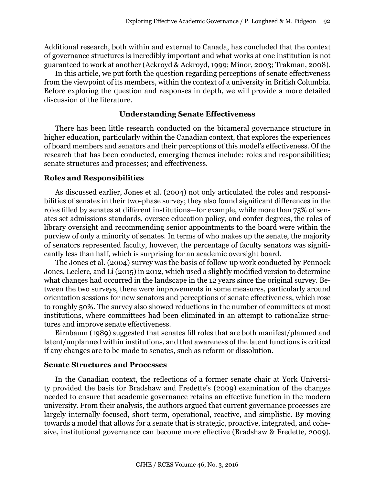Additional research, both within and external to Canada, has concluded that the context of governance structures is incredibly important and what works at one institution is not guaranteed to work at another (Ackroyd & Ackroyd, 1999; Minor, 2003; Trakman, 2008).

In this article, we put forth the question regarding perceptions of senate effectiveness from the viewpoint of its members, within the context of a university in British Columbia. Before exploring the question and responses in depth, we will provide a more detailed discussion of the literature.

#### **Understanding Senate Effectiveness**

There has been little research conducted on the bicameral governance structure in higher education, particularly within the Canadian context, that explores the experiences of board members and senators and their perceptions of this model's effectiveness. Of the research that has been conducted, emerging themes include: roles and responsibilities; senate structures and processes; and effectiveness.

## **Roles and Responsibilities**

As discussed earlier, Jones et al. (2004) not only articulated the roles and responsibilities of senates in their two-phase survey; they also found significant differences in the roles filled by senates at different institutions—for example, while more than 75% of senates set admissions standards, oversee education policy, and confer degrees, the roles of library oversight and recommending senior appointments to the board were within the purview of only a minority of senates. In terms of who makes up the senate, the majority of senators represented faculty, however, the percentage of faculty senators was significantly less than half, which is surprising for an academic oversight board.

The Jones et al. (2004) survey was the basis of follow-up work conducted by Pennock Jones, Leclerc, and Li (2015) in 2012, which used a slightly modified version to determine what changes had occurred in the landscape in the 12 years since the original survey. Between the two surveys, there were improvements in some measures, particularly around orientation sessions for new senators and perceptions of senate effectiveness, which rose to roughly 50%. The survey also showed reductions in the number of committees at most institutions, where committees had been eliminated in an attempt to rationalize structures and improve senate effectiveness.

Birnbaum (1989) suggested that senates fill roles that are both manifest/planned and latent/unplanned within institutions, and that awareness of the latent functions is critical if any changes are to be made to senates, such as reform or dissolution.

#### **Senate Structures and Processes**

In the Canadian context, the reflections of a former senate chair at York University provided the basis for Bradshaw and Fredette's (2009) examination of the changes needed to ensure that academic governance retains an effective function in the modern university. From their analysis, the authors argued that current governance processes are largely internally-focused, short-term, operational, reactive, and simplistic. By moving towards a model that allows for a senate that is strategic, proactive, integrated, and cohesive, institutional governance can become more effective (Bradshaw & Fredette, 2009).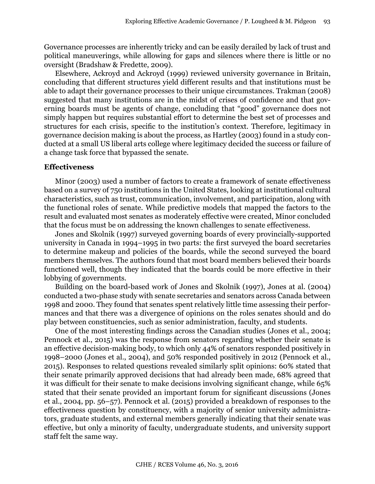Governance processes are inherently tricky and can be easily derailed by lack of trust and political maneuverings, while allowing for gaps and silences where there is little or no oversight (Bradshaw & Fredette, 2009).

Elsewhere, Ackroyd and Ackroyd (1999) reviewed university governance in Britain, concluding that different structures yield different results and that institutions must be able to adapt their governance processes to their unique circumstances. Trakman (2008) suggested that many institutions are in the midst of crises of confidence and that governing boards must be agents of change, concluding that "good" governance does not simply happen but requires substantial effort to determine the best set of processes and structures for each crisis, specific to the institution's context. Therefore, legitimacy in governance decision making is about the process, as Hartley (2003) found in a study conducted at a small US liberal arts college where legitimacy decided the success or failure of a change task force that bypassed the senate.

#### **Effectiveness**

Minor (2003) used a number of factors to create a framework of senate effectiveness based on a survey of 750 institutions in the United States, looking at institutional cultural characteristics, such as trust, communication, involvement, and participation, along with the functional roles of senate. While predictive models that mapped the factors to the result and evaluated most senates as moderately effective were created, Minor concluded that the focus must be on addressing the known challenges to senate effectiveness.

Jones and Skolnik (1997) surveyed governing boards of every provincially-supported university in Canada in 1994–1995 in two parts: the first surveyed the board secretaries to determine makeup and policies of the boards, while the second surveyed the board members themselves. The authors found that most board members believed their boards functioned well, though they indicated that the boards could be more effective in their lobbying of governments.

Building on the board-based work of Jones and Skolnik (1997), Jones at al. (2004) conducted a two-phase study with senate secretaries and senators across Canada between 1998 and 2000. They found that senates spent relatively little time assessing their performances and that there was a divergence of opinions on the roles senates should and do play between constituencies, such as senior administration, faculty, and students.

One of the most interesting findings across the Canadian studies (Jones et al., 2004; Pennock et al., 2015) was the response from senators regarding whether their senate is an effective decision-making body, to which only 44% of senators responded positively in 1998–2000 (Jones et al., 2004), and 50% responded positively in 2012 (Pennock et al., 2015). Responses to related questions revealed similarly split opinions: 60% stated that their senate primarily approved decisions that had already been made, 68% agreed that it was difficult for their senate to make decisions involving significant change, while 65% stated that their senate provided an important forum for significant discussions (Jones et al., 2004, pp. 56–57). Pennock et al. (2015) provided a breakdown of responses to the effectiveness question by constituency, with a majority of senior university administrators, graduate students, and external members generally indicating that their senate was effective, but only a minority of faculty, undergraduate students, and university support staff felt the same way.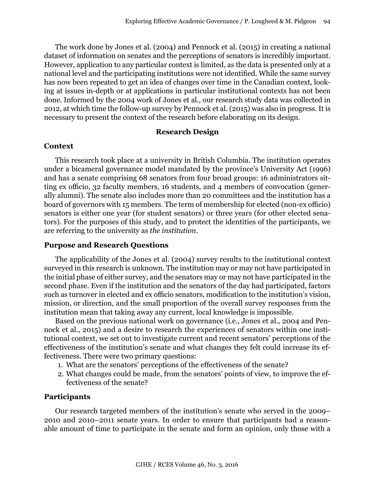The work done by Jones et al. (2004) and Pennock et al. (2015) in creating a national dataset of information on senates and the perceptions of senators is incredibly important. However, application to any particular context is limited, as the data is presented only at a national level and the participating institutions were not identified. While the same survey has now been repeated to get an idea of changes over time in the Canadian context, looking at issues in-depth or at applications in particular institutional contexts has not been done. Informed by the 2004 work of Jones et al., our research study data was collected in 2012, at which time the follow-up survey by Pennock et al. (2015) was also in progress. It is necessary to present the context of the research before elaborating on its design.

## **Research Design**

## **Context**

This research took place at a university in British Columbia. The institution operates under a bicameral governance model mandated by the province's University Act (1996) and has a senate comprising 68 senators from four broad groups: 16 administrators sitting ex officio, 32 faculty members, 16 students, and 4 members of convocation (generally alumni). The senate also includes more than 20 committees and the institution has a board of governors with 15 members. The term of membership for elected (non-ex officio) senators is either one year (for student senators) or three years (for other elected senators). For the purposes of this study, and to protect the identities of the participants, we are referring to the university as *the institution*.

## **Purpose and Research Questions**

The applicability of the Jones et al. (2004) survey results to the institutional context surveyed in this research is unknown. The institution may or may not have participated in the initial phase of either survey, and the senators may or may not have participated in the second phase. Even if the institution and the senators of the day had participated, factors such as turnover in elected and ex officio senators, modification to the institution's vision, mission, or direction, and the small proportion of the overall survey responses from the institution mean that taking away any current, local knowledge is impossible.

Based on the previous national work on governance (i.e., Jones et al., 2004 and Pennock et al., 2015) and a desire to research the experiences of senators within one institutional context, we set out to investigate current and recent senators' perceptions of the effectiveness of the institution's senate and what changes they felt could increase its effectiveness. There were two primary questions:

- 1. What are the senators' perceptions of the effectiveness of the senate?
- 2. What changes could be made, from the senators' points of view, to improve the effectiveness of the senate?

# **Participants**

Our research targeted members of the institution's senate who served in the 2009– 2010 and 2010–2011 senate years. In order to ensure that participants had a reasonable amount of time to participate in the senate and form an opinion, only those with a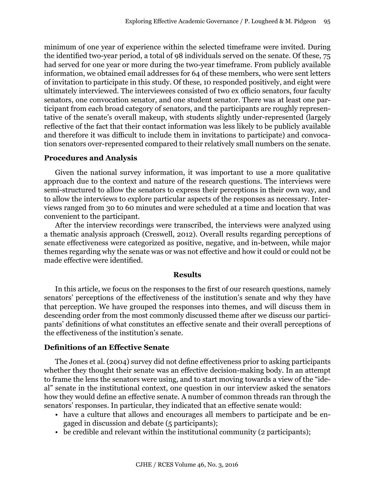minimum of one year of experience within the selected timeframe were invited. During the identified two-year period, a total of 98 individuals served on the senate. Of these, 75 had served for one year or more during the two-year timeframe. From publicly available information, we obtained email addresses for 64 of these members, who were sent letters of invitation to participate in this study. Of these, 10 responded positively, and eight were ultimately interviewed. The interviewees consisted of two ex officio senators, four faculty senators, one convocation senator, and one student senator. There was at least one participant from each broad category of senators, and the participants are roughly representative of the senate's overall makeup, with students slightly under-represented (largely reflective of the fact that their contact information was less likely to be publicly available and therefore it was difficult to include them in invitations to participate) and convocation senators over-represented compared to their relatively small numbers on the senate.

## **Procedures and Analysis**

Given the national survey information, it was important to use a more qualitative approach due to the context and nature of the research questions. The interviews were semi-structured to allow the senators to express their perceptions in their own way, and to allow the interviews to explore particular aspects of the responses as necessary. Interviews ranged from 30 to 60 minutes and were scheduled at a time and location that was convenient to the participant.

After the interview recordings were transcribed, the interviews were analyzed using a thematic analysis approach (Creswell, 2012). Overall results regarding perceptions of senate effectiveness were categorized as positive, negative, and in-between, while major themes regarding why the senate was or was not effective and how it could or could not be made effective were identified.

#### **Results**

In this article, we focus on the responses to the first of our research questions, namely senators' perceptions of the effectiveness of the institution's senate and why they have that perception. We have grouped the responses into themes, and will discuss them in descending order from the most commonly discussed theme after we discuss our participants' definitions of what constitutes an effective senate and their overall perceptions of the effectiveness of the institution's senate.

## **Definitions of an Effective Senate**

The Jones et al. (2004) survey did not define effectiveness prior to asking participants whether they thought their senate was an effective decision-making body. In an attempt to frame the lens the senators were using, and to start moving towards a view of the "ideal" senate in the institutional context, one question in our interview asked the senators how they would define an effective senate. A number of common threads ran through the senators' responses. In particular, they indicated that an effective senate would:

- have a culture that allows and encourages all members to participate and be engaged in discussion and debate (5 participants);
- be credible and relevant within the institutional community (2 participants);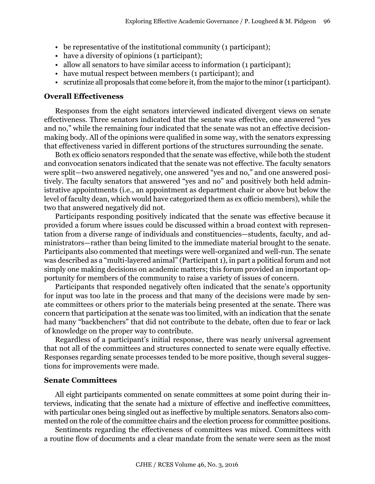- be representative of the institutional community (1 participant);
- have a diversity of opinions (1 participant);
- allow all senators to have similar access to information (1 participant);
- have mutual respect between members (1 participant); and
- scrutinize all proposals that come before it, from the major to the minor (1 participant).

#### **Overall Effectiveness**

Responses from the eight senators interviewed indicated divergent views on senate effectiveness. Three senators indicated that the senate was effective, one answered "yes and no," while the remaining four indicated that the senate was not an effective decisionmaking body. All of the opinions were qualified in some way, with the senators expressing that effectiveness varied in different portions of the structures surrounding the senate.

Both ex officio senators responded that the senate was effective, while both the student and convocation senators indicated that the senate was not effective. The faculty senators were split—two answered negatively, one answered "yes and no," and one answered positively. The faculty senators that answered "yes and no" and positively both held administrative appointments (i.e., an appointment as department chair or above but below the level of faculty dean, which would have categorized them as ex officio members), while the two that answered negatively did not.

Participants responding positively indicated that the senate was effective because it provided a forum where issues could be discussed within a broad context with representation from a diverse range of individuals and constituencies—students, faculty, and administrators—rather than being limited to the immediate material brought to the senate. Participants also commented that meetings were well-organized and well-run. The senate was described as a "multi-layered animal" (Participant 1), in part a political forum and not simply one making decisions on academic matters; this forum provided an important opportunity for members of the community to raise a variety of issues of concern.

Participants that responded negatively often indicated that the senate's opportunity for input was too late in the process and that many of the decisions were made by senate committees or others prior to the materials being presented at the senate. There was concern that participation at the senate was too limited, with an indication that the senate had many "backbenchers" that did not contribute to the debate, often due to fear or lack of knowledge on the proper way to contribute.

Regardless of a participant's initial response, there was nearly universal agreement that not all of the committees and structures connected to senate were equally effective. Responses regarding senate processes tended to be more positive, though several suggestions for improvements were made.

#### **Senate Committees**

All eight participants commented on senate committees at some point during their interviews, indicating that the senate had a mixture of effective and ineffective committees, with particular ones being singled out as ineffective by multiple senators. Senators also commented on the role of the committee chairs and the election process for committee positions.

Sentiments regarding the effectiveness of committees was mixed. Committees with a routine flow of documents and a clear mandate from the senate were seen as the most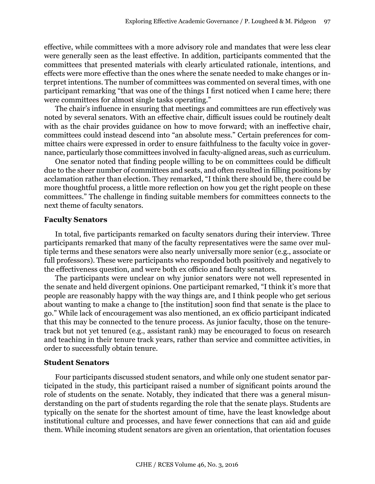effective, while committees with a more advisory role and mandates that were less clear were generally seen as the least effective. In addition, participants commented that the committees that presented materials with clearly articulated rationale, intentions, and effects were more effective than the ones where the senate needed to make changes or interpret intentions. The number of committees was commented on several times, with one participant remarking "that was one of the things I first noticed when I came here; there were committees for almost single tasks operating."

The chair's influence in ensuring that meetings and committees are run effectively was noted by several senators. With an effective chair, difficult issues could be routinely dealt with as the chair provides guidance on how to move forward; with an ineffective chair, committees could instead descend into "an absolute mess." Certain preferences for committee chairs were expressed in order to ensure faithfulness to the faculty voice in governance, particularly those committees involved in faculty-aligned areas, such as curriculum.

One senator noted that finding people willing to be on committees could be difficult due to the sheer number of committees and seats, and often resulted in filling positions by acclamation rather than election. They remarked, "I think there should be, there could be more thoughtful process, a little more reflection on how you get the right people on these committees." The challenge in finding suitable members for committees connects to the next theme of faculty senators.

#### **Faculty Senators**

In total, five participants remarked on faculty senators during their interview. Three participants remarked that many of the faculty representatives were the same over multiple terms and these senators were also nearly universally more senior (e.g., associate or full professors). These were participants who responded both positively and negatively to the effectiveness question, and were both ex officio and faculty senators.

The participants were unclear on why junior senators were not well represented in the senate and held divergent opinions. One participant remarked, "I think it's more that people are reasonably happy with the way things are, and I think people who get serious about wanting to make a change to [the institution] soon find that senate is the place to go." While lack of encouragement was also mentioned, an ex officio participant indicated that this may be connected to the tenure process. As junior faculty, those on the tenuretrack but not yet tenured (e.g., assistant rank) may be encouraged to focus on research and teaching in their tenure track years, rather than service and committee activities, in order to successfully obtain tenure.

#### **Student Senators**

Four participants discussed student senators, and while only one student senator participated in the study, this participant raised a number of significant points around the role of students on the senate. Notably, they indicated that there was a general misunderstanding on the part of students regarding the role that the senate plays. Students are typically on the senate for the shortest amount of time, have the least knowledge about institutional culture and processes, and have fewer connections that can aid and guide them. While incoming student senators are given an orientation, that orientation focuses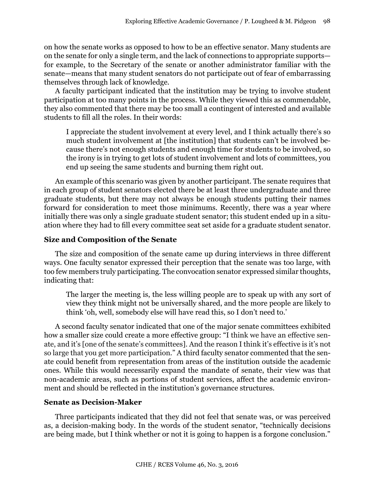on how the senate works as opposed to how to be an effective senator. Many students are on the senate for only a single term, and the lack of connections to appropriate supports for example, to the Secretary of the senate or another administrator familiar with the senate—means that many student senators do not participate out of fear of embarrassing themselves through lack of knowledge.

A faculty participant indicated that the institution may be trying to involve student participation at too many points in the process. While they viewed this as commendable, they also commented that there may be too small a contingent of interested and available students to fill all the roles. In their words:

I appreciate the student involvement at every level, and I think actually there's so much student involvement at [the institution] that students can't be involved because there's not enough students and enough time for students to be involved, so the irony is in trying to get lots of student involvement and lots of committees, you end up seeing the same students and burning them right out.

An example of this scenario was given by another participant. The senate requires that in each group of student senators elected there be at least three undergraduate and three graduate students, but there may not always be enough students putting their names forward for consideration to meet those minimums. Recently, there was a year where initially there was only a single graduate student senator; this student ended up in a situation where they had to fill every committee seat set aside for a graduate student senator.

## **Size and Composition of the Senate**

The size and composition of the senate came up during interviews in three different ways. One faculty senator expressed their perception that the senate was too large, with too few members truly participating. The convocation senator expressed similar thoughts, indicating that:

The larger the meeting is, the less willing people are to speak up with any sort of view they think might not be universally shared, and the more people are likely to think 'oh, well, somebody else will have read this, so I don't need to.'

A second faculty senator indicated that one of the major senate committees exhibited how a smaller size could create a more effective group: "I think we have an effective senate, and it's [one of the senate's committees]. And the reason I think it's effective is it's not so large that you get more participation." A third faculty senator commented that the senate could benefit from representation from areas of the institution outside the academic ones. While this would necessarily expand the mandate of senate, their view was that non-academic areas, such as portions of student services, affect the academic environment and should be reflected in the institution's governance structures.

## **Senate as Decision-Maker**

Three participants indicated that they did not feel that senate was, or was perceived as, a decision-making body. In the words of the student senator, "technically decisions are being made, but I think whether or not it is going to happen is a forgone conclusion."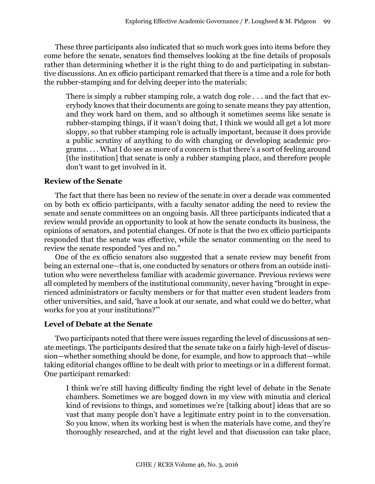These three participants also indicated that so much work goes into items before they come before the senate, senators find themselves looking at the fine details of proposals rather than determining whether it is the right thing to do and participating in substantive discussions. An ex officio participant remarked that there is a time and a role for both the rubber-stamping and for delving deeper into the materials:

There is simply a rubber stamping role, a watch dog role . . . and the fact that everybody knows that their documents are going to senate means they pay attention, and they work hard on them, and so although it sometimes seems like senate is rubber-stamping things, if it wasn't doing that, I think we would all get a lot more sloppy, so that rubber stamping role is actually important, because it does provide a public scrutiny of anything to do with changing or developing academic programs. . . . What I do see as more of a concern is that there's a sort of feeling around [the institution] that senate is only a rubber stamping place, and therefore people don't want to get involved in it.

# **Review of the Senate**

The fact that there has been no review of the senate in over a decade was commented on by both ex officio participants, with a faculty senator adding the need to review the senate and senate committees on an ongoing basis. All three participants indicated that a review would provide an opportunity to look at how the senate conducts its business, the opinions of senators, and potential changes. Of note is that the two ex officio participants responded that the senate was effective, while the senator commenting on the need to review the senate responded "yes and no."

One of the ex officio senators also suggested that a senate review may benefit from being an external one—that is, one conducted by senators or others from an outside institution who were nevertheless familiar with academic governance. Previous reviews were all completed by members of the institutional community, never having "brought in experienced administrators or faculty members or for that matter even student leaders from other universities, and said, 'have a look at our senate, and what could we do better, what works for you at your institutions?'"

## **Level of Debate at the Senate**

Two participants noted that there were issues regarding the level of discussions at senate meetings. The participants desired that the senate take on a fairly high-level of discussion—whether something should be done, for example, and how to approach that—while taking editorial changes offline to be dealt with prior to meetings or in a different format. One participant remarked:

I think we're still having difficulty finding the right level of debate in the Senate chambers. Sometimes we are bogged down in my view with minutia and clerical kind of revisions to things, and sometimes we're [talking about] ideas that are so vast that many people don't have a legitimate entry point in to the conversation. So you know, when its working best is when the materials have come, and they're thoroughly researched, and at the right level and that discussion can take place,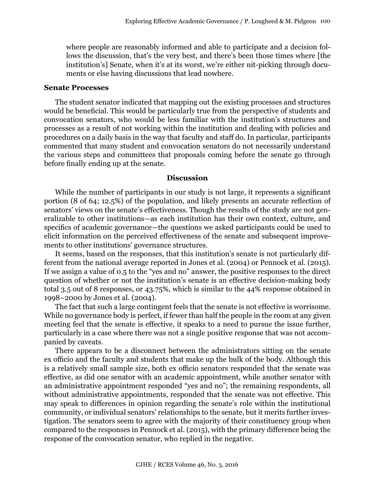where people are reasonably informed and able to participate and a decision follows the discussion, that's the very best, and there's been those times where [the institution's] Senate, when it's at its worst, we're either nit-picking through documents or else having discussions that lead nowhere.

#### **Senate Processes**

The student senator indicated that mapping out the existing processes and structures would be beneficial. This would be particularly true from the perspective of students and convocation senators, who would be less familiar with the institution's structures and processes as a result of not working within the institution and dealing with policies and procedures on a daily basis in the way that faculty and staff do. In particular, participants commented that many student and convocation senators do not necessarily understand the various steps and committees that proposals coming before the senate go through before finally ending up at the senate.

#### **Discussion**

While the number of participants in our study is not large, it represents a significant portion (8 of 64; 12.5%) of the population, and likely presents an accurate reflection of senators' views on the senate's effectiveness. Though the results of the study are not generalizable to other institutions—as each institution has their own context, culture, and specifics of academic governance—the questions we asked participants could be used to elicit information on the perceived effectiveness of the senate and subsequent improvements to other institutions' governance structures.

It seems, based on the responses, that this institution's senate is not particularly different from the national average reported in Jones et al. (2004) or Pennock et al. (2015). If we assign a value of 0.5 to the "yes and no" answer, the positive responses to the direct question of whether or not the institution's senate is an effective decision-making body total 3.5 out of 8 responses, or 43.75%, which is similar to the 44% response obtained in 1998–2000 by Jones et al. (2004).

The fact that such a large contingent feels that the senate is not effective is worrisome. While no governance body is perfect, if fewer than half the people in the room at any given meeting feel that the senate is effective, it speaks to a need to pursue the issue further, particularly in a case where there was not a single positive response that was not accompanied by caveats.

There appears to be a disconnect between the administrators sitting on the senate ex officio and the faculty and students that make up the bulk of the body. Although this is a relatively small sample size, both ex officio senators responded that the senate was effective, as did one senator with an academic appointment, while another senator with an administrative appointment responded "yes and no"; the remaining respondents, all without administrative appointments, responded that the senate was not effective. This may speak to differences in opinion regarding the senate's role within the institutional community, or individual senators' relationships to the senate, but it merits further investigation. The senators seem to agree with the majority of their constituency group when compared to the responses in Pennock et al. (2015), with the primary difference being the response of the convocation senator, who replied in the negative.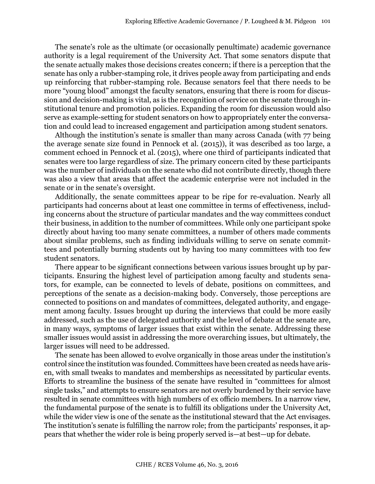The senate's role as the ultimate (or occasionally penultimate) academic governance authority is a legal requirement of the University Act. That some senators dispute that the senate actually makes those decisions creates concern; if there is a perception that the senate has only a rubber-stamping role, it drives people away from participating and ends up reinforcing that rubber-stamping role. Because senators feel that there needs to be more "young blood" amongst the faculty senators, ensuring that there is room for discussion and decision-making is vital, as is the recognition of service on the senate through institutional tenure and promotion policies. Expanding the room for discussion would also serve as example-setting for student senators on how to appropriately enter the conversation and could lead to increased engagement and participation among student senators.

Although the institution's senate is smaller than many across Canada (with 77 being the average senate size found in Pennock et al. (2015)), it was described as too large, a comment echoed in Pennock et al. (2015), where one third of participants indicated that senates were too large regardless of size. The primary concern cited by these participants was the number of individuals on the senate who did not contribute directly, though there was also a view that areas that affect the academic enterprise were not included in the senate or in the senate's oversight.

Additionally, the senate committees appear to be ripe for re-evaluation. Nearly all participants had concerns about at least one committee in terms of effectiveness, including concerns about the structure of particular mandates and the way committees conduct their business, in addition to the number of committees. While only one participant spoke directly about having too many senate committees, a number of others made comments about similar problems, such as finding individuals willing to serve on senate committees and potentially burning students out by having too many committees with too few student senators.

There appear to be significant connections between various issues brought up by participants. Ensuring the highest level of participation among faculty and students senators, for example, can be connected to levels of debate, positions on committees, and perceptions of the senate as a decision-making body. Conversely, those perceptions are connected to positions on and mandates of committees, delegated authority, and engagement among faculty. Issues brought up during the interviews that could be more easily addressed, such as the use of delegated authority and the level of debate at the senate are, in many ways, symptoms of larger issues that exist within the senate. Addressing these smaller issues would assist in addressing the more overarching issues, but ultimately, the larger issues will need to be addressed.

The senate has been allowed to evolve organically in those areas under the institution's control since the institution was founded. Committees have been created as needs have arisen, with small tweaks to mandates and memberships as necessitated by particular events. Efforts to streamline the business of the senate have resulted in "committees for almost single tasks," and attempts to ensure senators are not overly burdened by their service have resulted in senate committees with high numbers of ex officio members. In a narrow view, the fundamental purpose of the senate is to fulfill its obligations under the University Act, while the wider view is one of the senate as the institutional steward that the Act envisages. The institution's senate is fulfilling the narrow role; from the participants' responses, it appears that whether the wider role is being properly served is—at best—up for debate.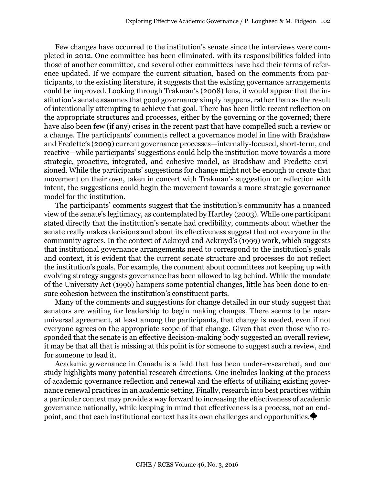Few changes have occurred to the institution's senate since the interviews were completed in 2012. One committee has been eliminated, with its responsibilities folded into those of another committee, and several other committees have had their terms of reference updated. If we compare the current situation, based on the comments from participants, to the existing literature, it suggests that the existing governance arrangements could be improved. Looking through Trakman's (2008) lens, it would appear that the institution's senate assumes that good governance simply happens, rather than as the result of intentionally attempting to achieve that goal. There has been little recent reflection on the appropriate structures and processes, either by the governing or the governed; there have also been few (if any) crises in the recent past that have compelled such a review or a change. The participants' comments reflect a governance model in line with Bradshaw and Fredette's (2009) current governance processes—internally-focused, short-term, and reactive—while participants' suggestions could help the institution move towards a more strategic, proactive, integrated, and cohesive model, as Bradshaw and Fredette envisioned. While the participants' suggestions for change might not be enough to create that movement on their own, taken in concert with Trakman's suggestion on reflection with intent, the suggestions could begin the movement towards a more strategic governance model for the institution.

The participants' comments suggest that the institution's community has a nuanced view of the senate's legitimacy, as contemplated by Hartley (2003). While one participant stated directly that the institution's senate had credibility, comments about whether the senate really makes decisions and about its effectiveness suggest that not everyone in the community agrees. In the context of Ackroyd and Ackroyd's (1999) work, which suggests that institutional governance arrangements need to correspond to the institution's goals and context, it is evident that the current senate structure and processes do not reflect the institution's goals. For example, the comment about committees not keeping up with evolving strategy suggests governance has been allowed to lag behind. While the mandate of the University Act (1996) hampers some potential changes, little has been done to ensure cohesion between the institution's constituent parts.

Many of the comments and suggestions for change detailed in our study suggest that senators are waiting for leadership to begin making changes. There seems to be nearuniversal agreement, at least among the participants, that change is needed, even if not everyone agrees on the appropriate scope of that change. Given that even those who responded that the senate is an effective decision-making body suggested an overall review, it may be that all that is missing at this point is for someone to suggest such a review, and for someone to lead it.

Academic governance in Canada is a field that has been under-researched, and our study highlights many potential research directions. One includes looking at the process of academic governance reflection and renewal and the effects of utilizing existing governance renewal practices in an academic setting. Finally, research into best practices within a particular context may provide a way forward to increasing the effectiveness of academic governance nationally, while keeping in mind that effectiveness is a process, not an endpoint, and that each institutional context has its own challenges and opportunities.  $\blacklozenge$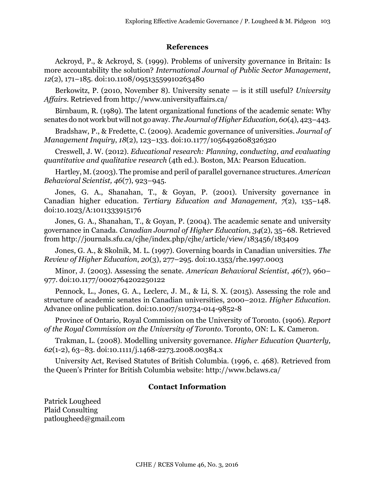## **References**

Ackroyd, P., & Ackroyd, S. (1999). Problems of university governance in Britain: Is more accountability the solution? *International Journal of Public Sector Management*, *12*(2), 171–185. doi:10.1108/09513559910263480

Berkowitz, P. (2010, November 8). University senate — is it still useful? *University Affairs*. Retrieved from http://www.universityaffairs.ca/

Birnbaum, R. (1989). The latent organizational functions of the academic senate: Why senates do not work but will not go away. *The Journal of Higher Education, 60*(4), 423–443.

Bradshaw, P., & Fredette, C. (2009). Academic governance of universities. *Journal of Management Inquiry*, *18*(2), 123–133. doi:10.1177/1056492608326320

Creswell, J. W. (2012). *Educational research: Planning, conducting, and evaluating quantitative and qualitative research* (4th ed.). Boston, MA: Pearson Education.

Hartley, M. (2003). The promise and peril of parallel governance structures. *American Behavioral Scientist, 46*(7), 923–945.

Jones, G. A., Shanahan, T., & Goyan, P. (2001). University governance in Canadian higher education. *Tertiary Education and Management*, *7*(2), 135–148. doi:10.1023/A:1011333915176

Jones, G. A., Shanahan, T., & Goyan, P. (2004). The academic senate and university governance in Canada. *Canadian Journal of Higher Education*, *34*(2), 35–68. Retrieved from http://journals.sfu.ca/cjhe/index.php/cjhe/article/view/183456/183409

Jones, G. A., & Skolnik, M. L. (1997). Governing boards in Canadian universities. *The Review of Higher Education*, *20*(3), 277–295. doi:10.1353/rhe.1997.0003

Minor, J. (2003). Assessing the senate. *American Behavioral Scientist*, *46*(7), 960– 977. doi:10.1177/0002764202250122

Pennock, L., Jones, G. A., Leclerc, J. M., & Li, S. X. (2015). Assessing the role and structure of academic senates in Canadian universities, 2000–2012. *Higher Education.* Advance online publication. doi:10.1007/s10734-014-9852-8

Province of Ontario, Royal Commission on the University of Toronto. (1906). *Report of the Royal Commission on the University of Toronto*. Toronto, ON: L. K. Cameron.

Trakman, L. (2008). Modelling university governance. *Higher Education Quarterly, 62*(1-2), 63–83. doi:10.1111/j.1468-2273.2008.00384.x

University Act, Revised Statutes of British Columbia. (1996, c. 468). Retrieved from the Queen's Printer for British Columbia website: http://www.bclaws.ca/

## **Contact Information**

Patrick Lougheed Plaid Consulting patlougheed@gmail.com